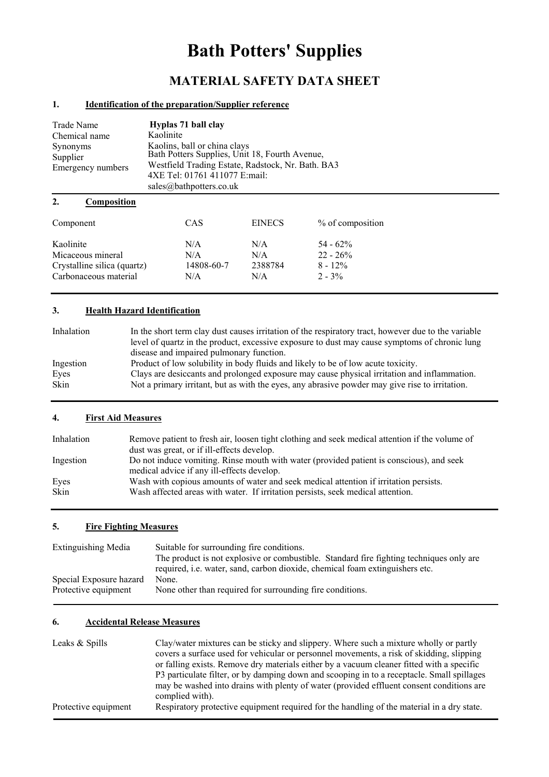# **Bath Potters' Supplies**

## **MATERIAL SAFETY DATA SHEET**

#### **1. Identification of the preparation/Supplier reference**

| Trade Name<br>Chemical name<br>Synonyms<br>Supplier<br>Emergency numbers | Hyplas 71 ball clay<br>Kaolinite<br>Kaolins, ball or china clays<br>Bath Potters Supplies, Unit 18, Fourth Avenue,<br>Westfield Trading Estate, Radstock, Nr. Bath. BA3<br>4XE Tel: 01761 411077 E:mail:<br>sales@bathpotters.co.uk |
|--------------------------------------------------------------------------|-------------------------------------------------------------------------------------------------------------------------------------------------------------------------------------------------------------------------------------|
| 2.<br>Composition                                                        |                                                                                                                                                                                                                                     |

| Component                   | CAS        | <b>EINECS</b> | % of composition |
|-----------------------------|------------|---------------|------------------|
| Kaolinite                   | N/A        | N/A           | $54 - 62\%$      |
| Micaceous mineral           | N/A        | N/A           | $22 - 26%$       |
| Crystalline silica (quartz) | 14808-60-7 | 2388784       | $8 - 12\%$       |
| Carbonaceous material       | N/A        | N/A           | $2 - 3\%$        |

## **3. Health Hazard Identification**

| Inhalation | In the short term clay dust causes irritation of the respiratory tract, however due to the variable<br>level of quartz in the product, excessive exposure to dust may cause symptoms of chronic lung<br>disease and impaired pulmonary function. |
|------------|--------------------------------------------------------------------------------------------------------------------------------------------------------------------------------------------------------------------------------------------------|
| Ingestion  | Product of low solubility in body fluids and likely to be of low acute toxicity.                                                                                                                                                                 |
| Eves       | Clays are desiccants and prolonged exposure may cause physical irritation and inflammation.                                                                                                                                                      |
| Skin       | Not a primary irritant, but as with the eyes, any abrasive powder may give rise to irritation.                                                                                                                                                   |

#### **4. First Aid Measures**

| Inhalation          | Remove patient to fresh air, loosen tight clothing and seek medical attention if the volume of<br>dust was great, or if ill-effects develop.                             |
|---------------------|--------------------------------------------------------------------------------------------------------------------------------------------------------------------------|
| Ingestion           | Do not induce vomiting. Rinse mouth with water (provided patient is conscious), and seek<br>medical advice if any ill-effects develop.                                   |
| Eyes<br><b>Skin</b> | Wash with copious amounts of water and seek medical attention if irritation persists.<br>Wash affected areas with water. If irritation persists, seek medical attention. |

#### **5. Fire Fighting Measures**

| <b>Extinguishing Media</b> | Suitable for surrounding fire conditions.                                               |
|----------------------------|-----------------------------------------------------------------------------------------|
|                            | The product is not explosive or combustible. Standard fire fighting techniques only are |
|                            | required, i.e. water, sand, carbon dioxide, chemical foam extinguishers etc.            |
| Special Exposure hazard    | None.                                                                                   |
| Protective equipment       | None other than required for surrounding fire conditions.                               |

## **6. Accidental Release Measures**

| Leaks & Spills       | Clay/water mixtures can be sticky and slippery. Where such a mixture wholly or partly      |
|----------------------|--------------------------------------------------------------------------------------------|
|                      | covers a surface used for vehicular or personnel movements, a risk of skidding, slipping   |
|                      | or falling exists. Remove dry materials either by a vacuum cleaner fitted with a specific  |
|                      | P3 particulate filter, or by damping down and scooping in to a receptacle. Small spillages |
|                      | may be washed into drains with plenty of water (provided effluent consent conditions are   |
|                      | complied with).                                                                            |
| Protective equipment | Respiratory protective equipment required for the handling of the material in a dry state. |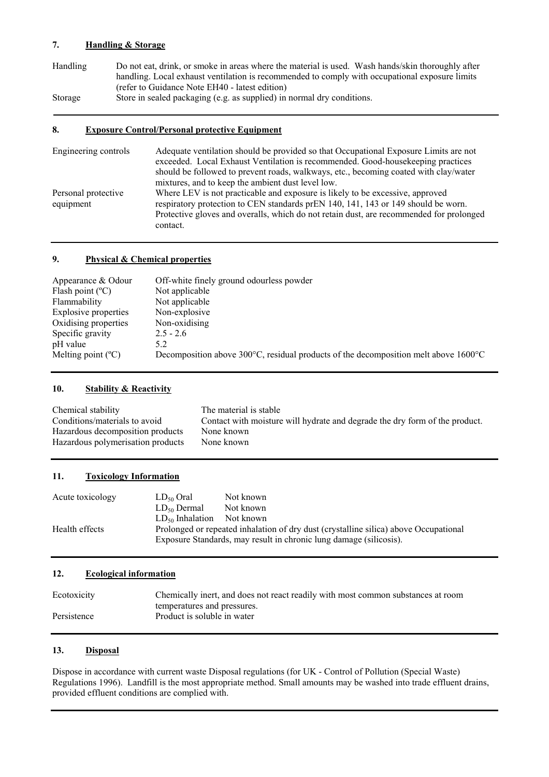#### **7. Handling & Storage**

| Handling | Do not eat, drink, or smoke in areas where the material is used. Wash hands/skin thoroughly after                                                                                                                                  |
|----------|------------------------------------------------------------------------------------------------------------------------------------------------------------------------------------------------------------------------------------|
|          | handling. Local exhaust ventilation is recommended to comply with occupational exposure limits                                                                                                                                     |
|          | (refer to Guidance Note EH40 - latest edition)                                                                                                                                                                                     |
| $\sim$   | $\mathcal{L}$ . The set of the set of the set of the set of the set of the set of the set of the set of the set of the set of the set of the set of the set of the set of the set of the set of the set of the set of the set of t |

Storage Store in sealed packaging (e.g. as supplied) in normal dry conditions.

#### **8. Exposure Control/Personal protective Equipment**

| Engineering controls             | Adequate ventilation should be provided so that Occupational Exposure Limits are not<br>exceeded. Local Exhaust Ventilation is recommended. Good-house keeping practices<br>should be followed to prevent roads, walkways, etc., becoming coated with clay/water<br>mixtures, and to keep the ambient dust level low. |
|----------------------------------|-----------------------------------------------------------------------------------------------------------------------------------------------------------------------------------------------------------------------------------------------------------------------------------------------------------------------|
| Personal protective<br>equipment | Where LEV is not practicable and exposure is likely to be excessive, approved<br>respiratory protection to CEN standards prEN 140, 141, 143 or 149 should be worn.<br>Protective gloves and overalls, which do not retain dust, are recommended for prolonged<br>contact.                                             |

#### **9. Physical & Chemical properties**

| Appearance & Odour          | Off-white finely ground odourless powder                                                                  |
|-----------------------------|-----------------------------------------------------------------------------------------------------------|
| Flash point $(^{\circ}C)$   | Not applicable                                                                                            |
| Flammability                | Not applicable                                                                                            |
| Explosive properties        | Non-explosive                                                                                             |
| Oxidising properties        | Non-oxidising                                                                                             |
| Specific gravity            | $2.5 - 2.6$                                                                                               |
| pH value                    | 5.2                                                                                                       |
| Melting point $(^{\circ}C)$ | Decomposition above 300 $^{\circ}$ C, residual products of the decomposition melt above 1600 $^{\circ}$ C |
|                             |                                                                                                           |

#### **10. Stability & Reactivity**

| Chemical stability                | The material is stable                                                      |
|-----------------------------------|-----------------------------------------------------------------------------|
| Conditions/materials to avoid     | Contact with moisture will hydrate and degrade the dry form of the product. |
| Hazardous decomposition products  | None known                                                                  |
| Hazardous polymerisation products | None known                                                                  |

#### **11. Toxicology Information**

| Acute toxicology | $LD_{50}$ Oral       | Not known                                                                                                                                                  |
|------------------|----------------------|------------------------------------------------------------------------------------------------------------------------------------------------------------|
|                  | $LD_{50}$ Dermal     | Not known                                                                                                                                                  |
|                  | $LD_{50}$ Inhalation | Not known                                                                                                                                                  |
| Health effects   |                      | Prolonged or repeated inhalation of dry dust (crystalline silica) above Occupational<br>Exposure Standards, may result in chronic lung damage (silicosis). |

### **12. Ecological information**

| Ecotoxicity | Chemically inert, and does not react readily with most common substances at room |
|-------------|----------------------------------------------------------------------------------|
|             | temperatures and pressures.                                                      |
| Persistence | Product is soluble in water                                                      |

#### **13. Disposal**

Dispose in accordance with current waste Disposal regulations (for UK - Control of Pollution (Special Waste) Regulations 1996). Landfill is the most appropriate method. Small amounts may be washed into trade effluent drains, provided effluent conditions are complied with.